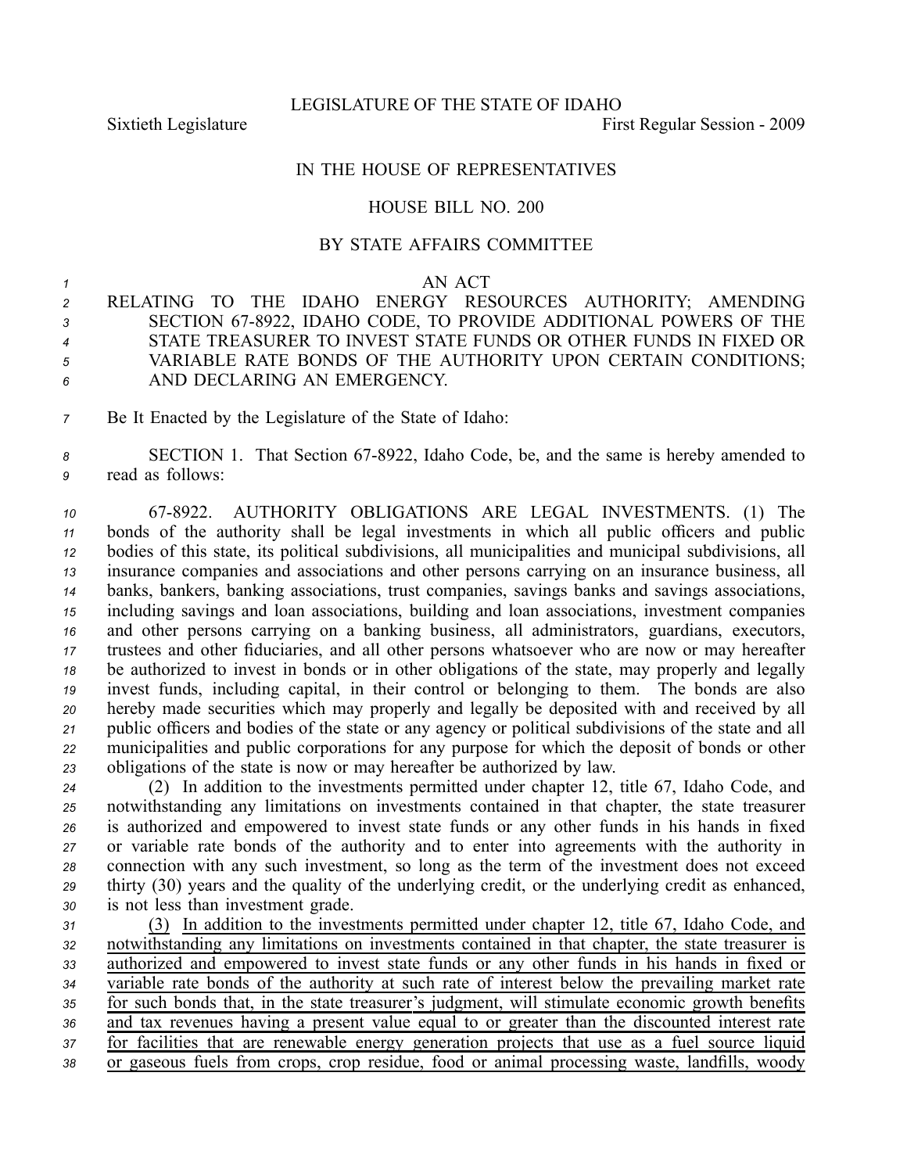LEGISLATURE OF THE STATE OF IDAHO

Sixtieth Legislature First Regular Session - 2009

## IN THE HOUSE OF REPRESENTATIVES

## HOUSE BILL NO. 200

## BY STATE AFFAIRS COMMITTEE

*1* AN ACT

 RELATING TO THE IDAHO ENERGY RESOURCES AUTHORITY; AMENDING 3 SECTION 67-8922, IDAHO CODE, TO PROVIDE ADDITIONAL POWERS OF THE STATE TREASURER TO INVEST STATE FUNDS OR OTHER FUNDS IN FIXED OR VARIABLE RATE BONDS OF THE AUTHORITY UPON CERTAIN CONDITIONS; AND DECLARING AN EMERGENCY.

*<sup>7</sup>* Be It Enacted by the Legislature of the State of Idaho:

8 **SECTION 1.** That Section 67-8922, Idaho Code, be, and the same is hereby amended to *<sup>9</sup>* read as follows:

 678922. AUTHORITY OBLIGATIONS ARE LEGAL INVESTMENTS. (1) The bonds of the authority shall be legal investments in which all public officers and public bodies of this state, its political subdivisions, all municipalities and municipal subdivisions, all insurance companies and associations and other persons carrying on an insurance business, all banks, bankers, banking associations, trust companies, savings banks and savings associations, including savings and loan associations, building and loan associations, investment companies and other persons carrying on <sup>a</sup> banking business, all administrators, guardians, executors, trustees and other fiduciaries, and all other persons whatsoever who are now or may hereafter be authorized to invest in bonds or in other obligations of the state, may properly and legally invest funds, including capital, in their control or belonging to them. The bonds are also hereby made securities which may properly and legally be deposited with and received by all public officers and bodies of the state or any agency or political subdivisions of the state and all municipalities and public corporations for any purpose for which the deposit of bonds or other obligations of the state is now or may hereafter be authorized by law.

 (2) In addition to the investments permitted under chapter 12, title 67, Idaho Code, and notwithstanding any limitations on investments contained in that chapter, the state treasurer is authorized and empowered to invest state funds or any other funds in his hands in fixed or variable rate bonds of the authority and to enter into agreements with the authority in connection with any such investment, so long as the term of the investment does not exceed thirty (30) years and the quality of the underlying credit, or the underlying credit as enhanced, is not less than investment grade.

 (3) In addition to the investments permitted under chapter 12, title 67, Idaho Code, and notwithstanding any limitations on investments contained in that chapter, the state treasurer is authorized and empowered to invest state funds or any other funds in his hands in fixed or variable rate bonds of the authority at such rate of interest below the prevailing market rate for such bonds that, in the state treasurer's judgment, will stimulate economic growth benefits and tax revenues having <sup>a</sup> presen<sup>t</sup> value equal to or greater than the discounted interest rate for facilities that are renewable energy generation projects that use as <sup>a</sup> fuel source liquid or gaseous fuels from crops, crop residue, food or animal processing waste, landfills, woody